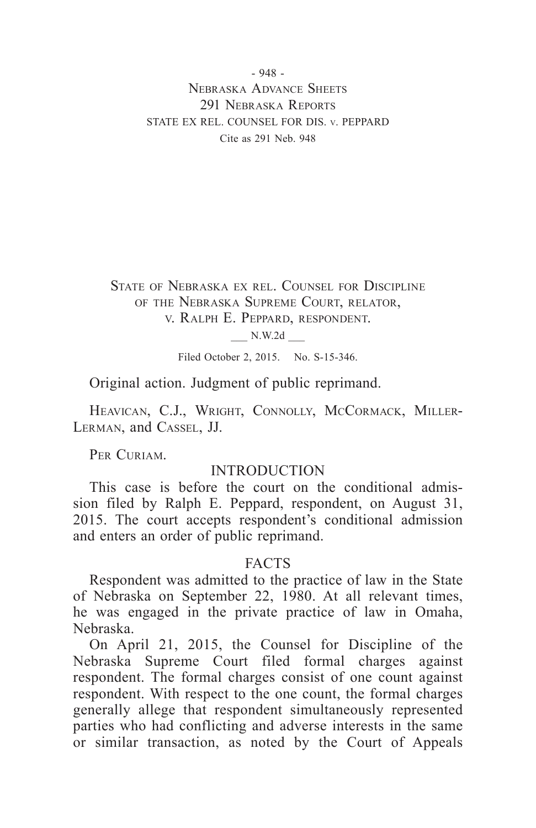- 948 - Nebraska Advance Sheets 291 NEBRASKA REPORTS STATE EX REL. COUNSEL FOR DIS. v. PEPPARD Cite as 291 Neb. 948

State of Nebraska ex rel. Counsel for Discipline of the Nebraska Supreme Court, relator, v. Ralph E. Peppard, respondent.

\_\_\_ N.W.2d \_\_\_

Filed October 2, 2015. No. S-15-346.

Original action. Judgment of public reprimand.

HEAVICAN, C.J., WRIGHT, CONNOLLY, MCCORMACK, MILLER-Lerman, and Cassel, JJ.

PER CURIAM.

#### INTRODUCTION

This case is before the court on the conditional admission filed by Ralph E. Peppard, respondent, on August 31, 2015. The court accepts respondent's conditional admission and enters an order of public reprimand.

#### FACTS

Respondent was admitted to the practice of law in the State of Nebraska on September 22, 1980. At all relevant times, he was engaged in the private practice of law in Omaha, Nebraska.

On April 21, 2015, the Counsel for Discipline of the Nebraska Supreme Court filed formal charges against respondent. The formal charges consist of one count against respondent. With respect to the one count, the formal charges generally allege that respondent simultaneously represented parties who had conflicting and adverse interests in the same or similar transaction, as noted by the Court of Appeals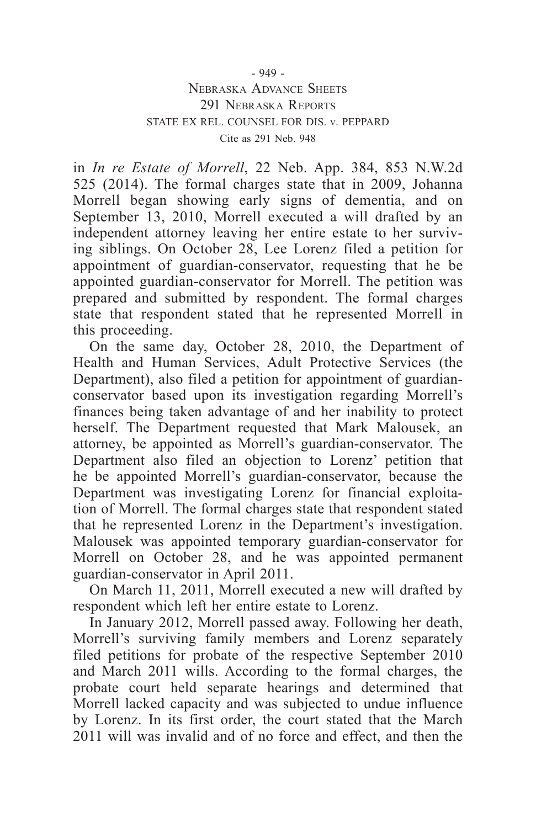# Nebraska Advance Sheets 291 NEBRASKA REPORTS STATE EX REL. COUNSEL FOR DIS. v. PEPPARD Cite as 291 Neb. 948

in *In re Estate of Morrell*, 22 Neb. App. 384, 853 N.W.2d 525 (2014). The formal charges state that in 2009, Johanna Morrell began showing early signs of dementia, and on September 13, 2010, Morrell executed a will drafted by an independent attorney leaving her entire estate to her surviving siblings. On October 28, Lee Lorenz filed a petition for appointment of guardian-conservator, requesting that he be appointed guardian-conservator for Morrell. The petition was prepared and submitted by respondent. The formal charges state that respondent stated that he represented Morrell in this proceeding.

On the same day, October 28, 2010, the Department of Health and Human Services, Adult Protective Services (the Department), also filed a petition for appointment of guardianconservator based upon its investigation regarding Morrell's finances being taken advantage of and her inability to protect herself. The Department requested that Mark Malousek, an attorney, be appointed as Morrell's guardian-conservator. The Department also filed an objection to Lorenz' petition that he be appointed Morrell's guardian-conservator, because the Department was investigating Lorenz for financial exploitation of Morrell. The formal charges state that respondent stated that he represented Lorenz in the Department's investigation. Malousek was appointed temporary guardian-conservator for Morrell on October 28, and he was appointed permanent guardian-conservator in April 2011.

On March 11, 2011, Morrell executed a new will drafted by respondent which left her entire estate to Lorenz.

In January 2012, Morrell passed away. Following her death, Morrell's surviving family members and Lorenz separately filed petitions for probate of the respective September 2010 and March 2011 wills. According to the formal charges, the probate court held separate hearings and determined that Morrell lacked capacity and was subjected to undue influence by Lorenz. In its first order, the court stated that the March 2011 will was invalid and of no force and effect, and then the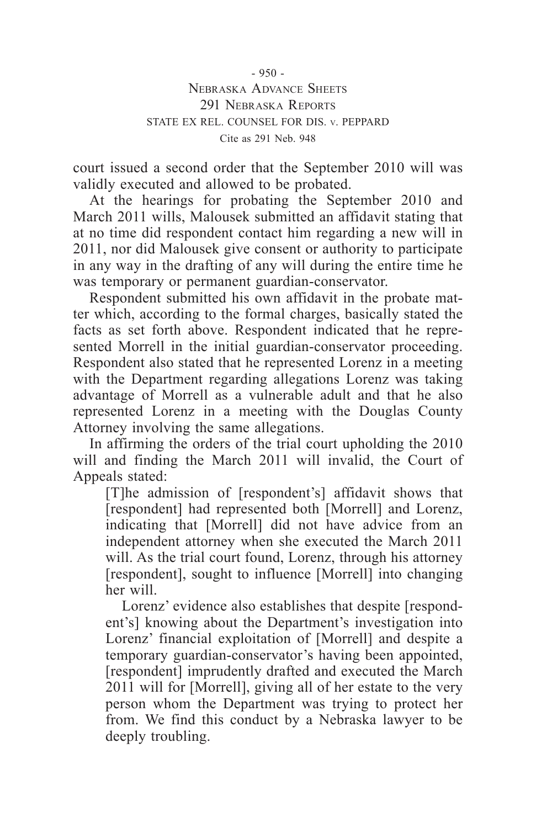$-950 -$ Nebraska Advance Sheets 291 NEBRASKA REPORTS STATE EX REL. COUNSEL FOR DIS. v. PEPPARD Cite as 291 Neb. 948

court issued a second order that the September 2010 will was validly executed and allowed to be probated.

At the hearings for probating the September 2010 and March 2011 wills, Malousek submitted an affidavit stating that at no time did respondent contact him regarding a new will in 2011, nor did Malousek give consent or authority to participate in any way in the drafting of any will during the entire time he was temporary or permanent guardian-conservator.

Respondent submitted his own affidavit in the probate matter which, according to the formal charges, basically stated the facts as set forth above. Respondent indicated that he represented Morrell in the initial guardian-conservator proceeding. Respondent also stated that he represented Lorenz in a meeting with the Department regarding allegations Lorenz was taking advantage of Morrell as a vulnerable adult and that he also represented Lorenz in a meeting with the Douglas County Attorney involving the same allegations.

In affirming the orders of the trial court upholding the 2010 will and finding the March 2011 will invalid, the Court of Appeals stated:

[T]he admission of [respondent's] affidavit shows that [respondent] had represented both [Morrell] and Lorenz, indicating that [Morrell] did not have advice from an independent attorney when she executed the March 2011 will. As the trial court found, Lorenz, through his attorney [respondent], sought to influence [Morrell] into changing her will.

Lorenz' evidence also establishes that despite [respondent's] knowing about the Department's investigation into Lorenz' financial exploitation of [Morrell] and despite a temporary guardian-conservator's having been appointed, [respondent] imprudently drafted and executed the March 2011 will for [Morrell], giving all of her estate to the very person whom the Department was trying to protect her from. We find this conduct by a Nebraska lawyer to be deeply troubling.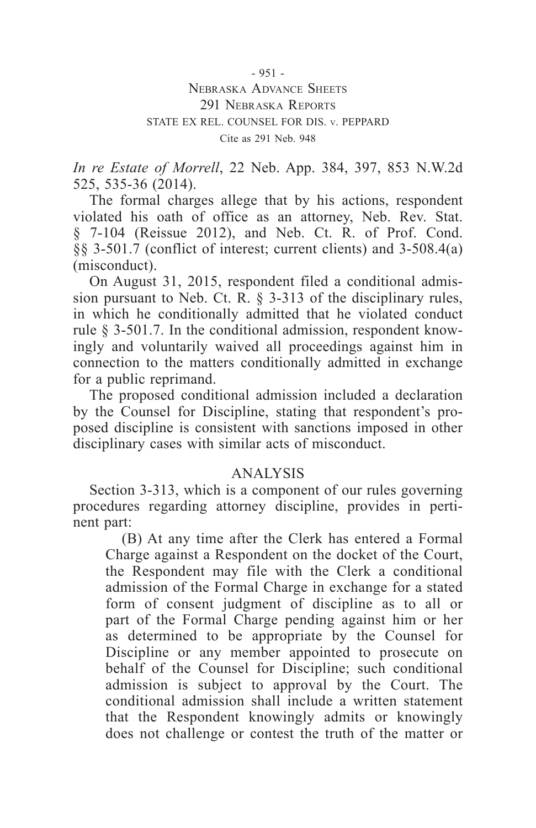- 951 -

# Nebraska Advance Sheets 291 NEBRASKA REPORTS STATE EX REL. COUNSEL FOR DIS. v. PEPPARD Cite as 291 Neb. 948

*In re Estate of Morrell*, 22 Neb. App. 384, 397, 853 N.W.2d 525, 535-36 (2014).

The formal charges allege that by his actions, respondent violated his oath of office as an attorney, Neb. Rev. Stat. § 7-104 (Reissue 2012), and Neb. Ct. R. of Prof. Cond. §§ 3-501.7 (conflict of interest; current clients) and 3-508.4(a) (misconduct).

On August 31, 2015, respondent filed a conditional admission pursuant to Neb. Ct. R. § 3-313 of the disciplinary rules, in which he conditionally admitted that he violated conduct rule § 3-501.7. In the conditional admission, respondent knowingly and voluntarily waived all proceedings against him in connection to the matters conditionally admitted in exchange for a public reprimand.

The proposed conditional admission included a declaration by the Counsel for Discipline, stating that respondent's proposed discipline is consistent with sanctions imposed in other disciplinary cases with similar acts of misconduct.

# ANALYSIS

Section 3-313, which is a component of our rules governing procedures regarding attorney discipline, provides in pertinent part:

(B) At any time after the Clerk has entered a Formal Charge against a Respondent on the docket of the Court, the Respondent may file with the Clerk a conditional admission of the Formal Charge in exchange for a stated form of consent judgment of discipline as to all or part of the Formal Charge pending against him or her as determined to be appropriate by the Counsel for Discipline or any member appointed to prosecute on behalf of the Counsel for Discipline; such conditional admission is subject to approval by the Court. The conditional admission shall include a written statement that the Respondent knowingly admits or knowingly does not challenge or contest the truth of the matter or